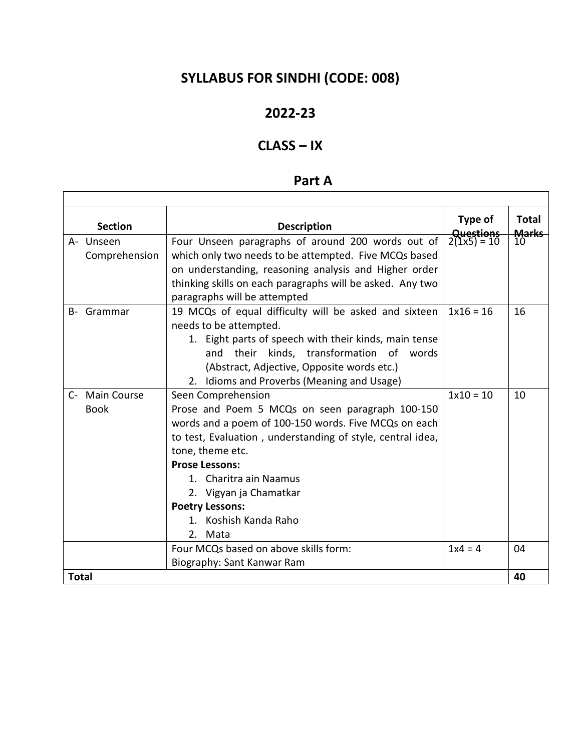# **SYLLABUS FOR SINDHI (CODE: 008)**

### **2022-23**

## **CLASS – IX**

 $\sqrt{ }$ 

## **Part A**

 $\overline{\phantom{a}}$ 

| <b>Section</b> | <b>Description</b>                                         | Type of                           | <b>Total</b>                    |
|----------------|------------------------------------------------------------|-----------------------------------|---------------------------------|
| A- Unseen      | Four Unseen paragraphs of around 200 words out of          | <b>Questions</b><br>$2(1x5) = 10$ | <b>Marks</b><br>10 <sup>°</sup> |
| Comprehension  | which only two needs to be attempted. Five MCQs based      |                                   |                                 |
|                | on understanding, reasoning analysis and Higher order      |                                   |                                 |
|                | thinking skills on each paragraphs will be asked. Any two  |                                   |                                 |
|                | paragraphs will be attempted                               |                                   |                                 |
| B- Grammar     | 19 MCQs of equal difficulty will be asked and sixteen      |                                   | 16                              |
|                | needs to be attempted.                                     |                                   |                                 |
|                | 1. Eight parts of speech with their kinds, main tense      |                                   |                                 |
|                | their kinds, transformation of words<br>and                |                                   |                                 |
|                | (Abstract, Adjective, Opposite words etc.)                 |                                   |                                 |
|                | 2. Idioms and Proverbs (Meaning and Usage)                 |                                   |                                 |
| C- Main Course | Seen Comprehension                                         | $1x10 = 10$                       | 10                              |
| <b>Book</b>    | Prose and Poem 5 MCQs on seen paragraph 100-150            |                                   |                                 |
|                | words and a poem of 100-150 words. Five MCQs on each       |                                   |                                 |
|                | to test, Evaluation, understanding of style, central idea, |                                   |                                 |
|                | tone, theme etc.                                           |                                   |                                 |
|                | <b>Prose Lessons:</b>                                      |                                   |                                 |
|                | 1. Charitra ain Naamus                                     |                                   |                                 |
|                | 2. Vigyan ja Chamatkar                                     |                                   |                                 |
|                | <b>Poetry Lessons:</b>                                     |                                   |                                 |
|                | 1. Koshish Kanda Raho                                      |                                   |                                 |
|                | 2. Mata                                                    |                                   |                                 |
|                | Four MCQs based on above skills form:                      | $1x4 = 4$                         | 04                              |
|                | Biography: Sant Kanwar Ram                                 |                                   |                                 |
| <b>Total</b>   |                                                            |                                   | 40                              |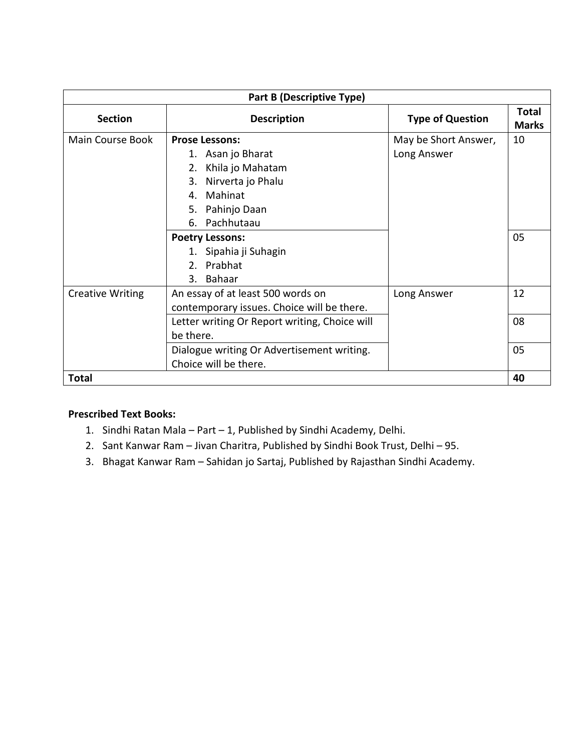| Part B (Descriptive Type) |                                               |                         |                              |  |
|---------------------------|-----------------------------------------------|-------------------------|------------------------------|--|
| <b>Section</b>            | <b>Description</b>                            | <b>Type of Question</b> | <b>Total</b><br><b>Marks</b> |  |
| Main Course Book          | <b>Prose Lessons:</b>                         | May be Short Answer,    | 10                           |  |
|                           | 1. Asan jo Bharat                             | Long Answer             |                              |  |
|                           | Khila jo Mahatam<br>2.                        |                         |                              |  |
|                           | Nirverta jo Phalu<br>3.                       |                         |                              |  |
|                           | Mahinat<br>4.                                 |                         |                              |  |
|                           | Pahinjo Daan<br>5.                            |                         |                              |  |
|                           | 6. Pachhutaau                                 |                         |                              |  |
|                           | <b>Poetry Lessons:</b>                        |                         | 05                           |  |
|                           | 1. Sipahia ji Suhagin                         |                         |                              |  |
|                           | 2. Prabhat                                    |                         |                              |  |
|                           | 3. Bahaar                                     |                         |                              |  |
| <b>Creative Writing</b>   | An essay of at least 500 words on             | Long Answer             | 12                           |  |
|                           | contemporary issues. Choice will be there.    |                         |                              |  |
|                           | Letter writing Or Report writing, Choice will |                         | 08                           |  |
|                           | be there.                                     |                         |                              |  |
|                           | Dialogue writing Or Advertisement writing.    |                         | 05                           |  |
|                           | Choice will be there.                         |                         |                              |  |
| Total                     |                                               |                         | 40                           |  |

### **Prescribed Text Books:**

- 1. Sindhi Ratan Mala Part 1, Published by Sindhi Academy, Delhi.
- 2. Sant Kanwar Ram Jivan Charitra, Published by Sindhi Book Trust, Delhi 95.
- 3. Bhagat Kanwar Ram Sahidan jo Sartaj, Published by Rajasthan Sindhi Academy.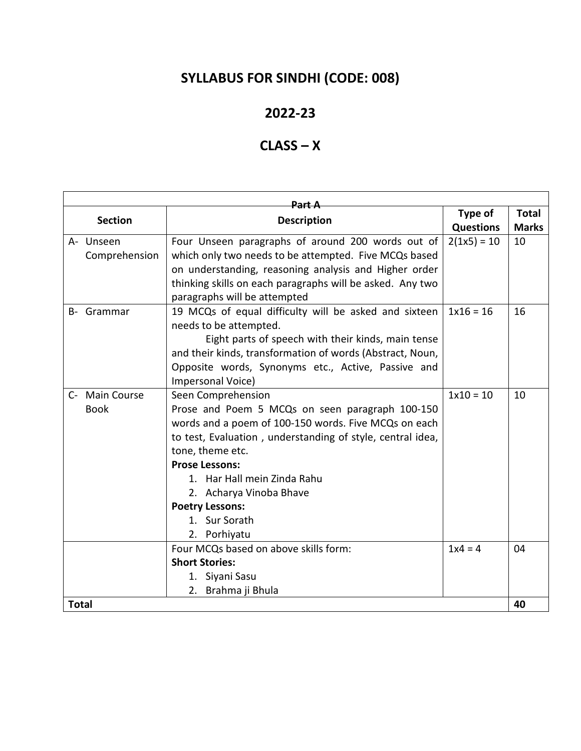# **SYLLABUS FOR SINDHI (CODE: 008)**

### **2022-23**

## **CLASS – X**

| <del>Part A</del> |                |                                                            |                  |              |  |
|-------------------|----------------|------------------------------------------------------------|------------------|--------------|--|
| <b>Section</b>    |                | <b>Description</b>                                         | Type of          | <b>Total</b> |  |
|                   |                |                                                            | <b>Questions</b> | <b>Marks</b> |  |
|                   | A- Unseen      | Four Unseen paragraphs of around 200 words out of          | $2(1x5) = 10$    | 10           |  |
|                   | Comprehension  | which only two needs to be attempted. Five MCQs based      |                  |              |  |
|                   |                | on understanding, reasoning analysis and Higher order      |                  |              |  |
|                   |                | thinking skills on each paragraphs will be asked. Any two  |                  |              |  |
|                   |                | paragraphs will be attempted                               |                  |              |  |
|                   | B- Grammar     | 19 MCQs of equal difficulty will be asked and sixteen      | $1x16 = 16$      | 16           |  |
|                   |                | needs to be attempted.                                     |                  |              |  |
|                   |                | Eight parts of speech with their kinds, main tense         |                  |              |  |
|                   |                | and their kinds, transformation of words (Abstract, Noun,  |                  |              |  |
|                   |                | Opposite words, Synonyms etc., Active, Passive and         |                  |              |  |
|                   |                | Impersonal Voice)                                          |                  |              |  |
|                   | C- Main Course | Seen Comprehension                                         | $1x10 = 10$      | 10           |  |
|                   | <b>Book</b>    | Prose and Poem 5 MCQs on seen paragraph 100-150            |                  |              |  |
|                   |                | words and a poem of 100-150 words. Five MCQs on each       |                  |              |  |
|                   |                | to test, Evaluation, understanding of style, central idea, |                  |              |  |
|                   |                | tone, theme etc.                                           |                  |              |  |
|                   |                | <b>Prose Lessons:</b>                                      |                  |              |  |
|                   |                | 1. Har Hall mein Zinda Rahu                                |                  |              |  |
|                   |                | 2. Acharya Vinoba Bhave                                    |                  |              |  |
|                   |                | <b>Poetry Lessons:</b>                                     |                  |              |  |
|                   |                | 1. Sur Sorath                                              |                  |              |  |
|                   |                | 2. Porhiyatu                                               |                  |              |  |
|                   |                | Four MCQs based on above skills form:                      | $1x4 = 4$        | 04           |  |
|                   |                | <b>Short Stories:</b>                                      |                  |              |  |
|                   |                | 1. Siyani Sasu                                             |                  |              |  |
|                   |                | 2. Brahma ji Bhula                                         |                  |              |  |
| <b>Total</b>      |                |                                                            |                  | 40           |  |